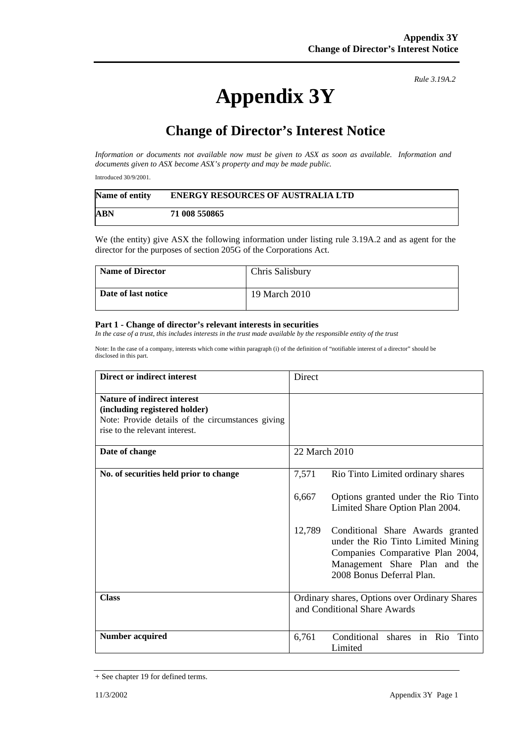## **Appendix 3Y**

*Rule 3.19A.2*

## **Change of Director's Interest Notice**

*Information or documents not available now must be given to ASX as soon as available. Information and documents given to ASX become ASX's property and may be made public.* 

Introduced 30/9/2001.

| Name of entity | <b>ENERGY RESOURCES OF AUSTRALIA LTD</b> |
|----------------|------------------------------------------|
| ABN            | 71 008 550865                            |

We (the entity) give ASX the following information under listing rule 3.19A.2 and as agent for the director for the purposes of section 205G of the Corporations Act.

| <b>Name of Director</b> | Chris Salisbury |
|-------------------------|-----------------|
| Date of last notice     | 19 March 2010   |

## **Part 1 - Change of director's relevant interests in securities**

In the case of a trust, this includes interests in the trust made available by the responsible entity of the trust

Note: In the case of a company, interests which come within paragraph (i) of the definition of "notifiable interest of a director" should be disclosed in this part.

| Direct or indirect interest                                                                                                                                | Direct                                                                                                                                                                             |
|------------------------------------------------------------------------------------------------------------------------------------------------------------|------------------------------------------------------------------------------------------------------------------------------------------------------------------------------------|
| <b>Nature of indirect interest</b><br>(including registered holder)<br>Note: Provide details of the circumstances giving<br>rise to the relevant interest. |                                                                                                                                                                                    |
| Date of change                                                                                                                                             | 22 March 2010                                                                                                                                                                      |
| No. of securities held prior to change                                                                                                                     | 7,571<br>Rio Tinto Limited ordinary shares                                                                                                                                         |
|                                                                                                                                                            | 6,667<br>Options granted under the Rio Tinto<br>Limited Share Option Plan 2004.                                                                                                    |
|                                                                                                                                                            | 12,789<br>Conditional Share Awards granted<br>under the Rio Tinto Limited Mining<br>Companies Comparative Plan 2004,<br>Management Share Plan and the<br>2008 Bonus Deferral Plan. |
| <b>Class</b>                                                                                                                                               | Ordinary shares, Options over Ordinary Shares<br>and Conditional Share Awards                                                                                                      |
| <b>Number acquired</b>                                                                                                                                     | 6,761<br>Conditional shares in Rio Tinto<br>Limited                                                                                                                                |

<sup>+</sup> See chapter 19 for defined terms.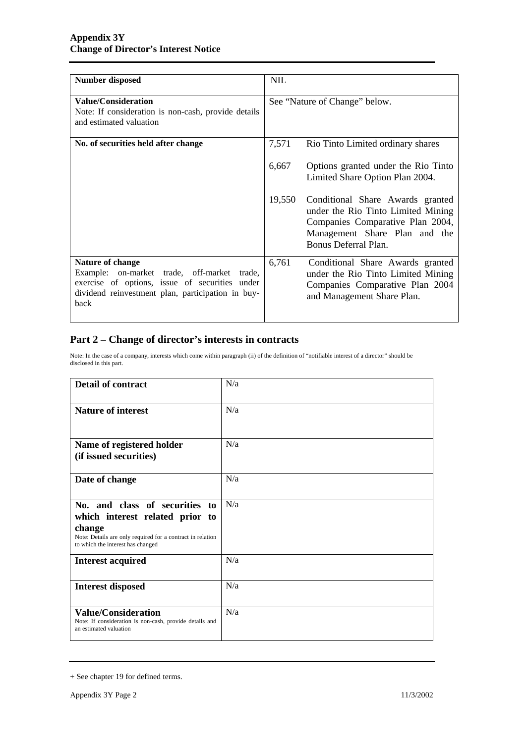| <b>Number disposed</b>                                                                                                                                                         | <b>NIL</b>                    |                                                                                                                                                                     |
|--------------------------------------------------------------------------------------------------------------------------------------------------------------------------------|-------------------------------|---------------------------------------------------------------------------------------------------------------------------------------------------------------------|
| <b>Value/Consideration</b><br>Note: If consideration is non-cash, provide details<br>and estimated valuation                                                                   | See "Nature of Change" below. |                                                                                                                                                                     |
| No. of securities held after change                                                                                                                                            | 7,571                         | Rio Tinto Limited ordinary shares                                                                                                                                   |
|                                                                                                                                                                                | 6,667                         | Options granted under the Rio Tinto<br>Limited Share Option Plan 2004.                                                                                              |
|                                                                                                                                                                                | 19,550                        | Conditional Share Awards granted<br>under the Rio Tinto Limited Mining<br>Companies Comparative Plan 2004,<br>Management Share Plan and the<br>Bonus Deferral Plan. |
| Nature of change<br>Example: on-market trade, off-market trade,<br>exercise of options, issue of securities under<br>dividend reinvestment plan, participation in buy-<br>back | 6,761                         | Conditional Share Awards granted<br>under the Rio Tinto Limited Mining<br>Companies Comparative Plan 2004<br>and Management Share Plan.                             |

## **Part 2 – Change of director's interests in contracts**

Note: In the case of a company, interests which come within paragraph (ii) of the definition of "notifiable interest of a director" should be disclosed in this part.

| <b>Detail of contract</b>                                                                                                                                                      | N/a |  |
|--------------------------------------------------------------------------------------------------------------------------------------------------------------------------------|-----|--|
| <b>Nature of interest</b>                                                                                                                                                      | N/a |  |
| Name of registered holder<br>(if issued securities)                                                                                                                            | N/a |  |
| Date of change                                                                                                                                                                 | N/a |  |
| No. and class of securities to<br>which interest related prior to<br>change<br>Note: Details are only required for a contract in relation<br>to which the interest has changed | N/a |  |
| <b>Interest acquired</b>                                                                                                                                                       | N/a |  |
| <b>Interest disposed</b>                                                                                                                                                       | N/a |  |
| <b>Value/Consideration</b><br>Note: If consideration is non-cash, provide details and<br>an estimated valuation                                                                | N/a |  |

<sup>+</sup> See chapter 19 for defined terms.